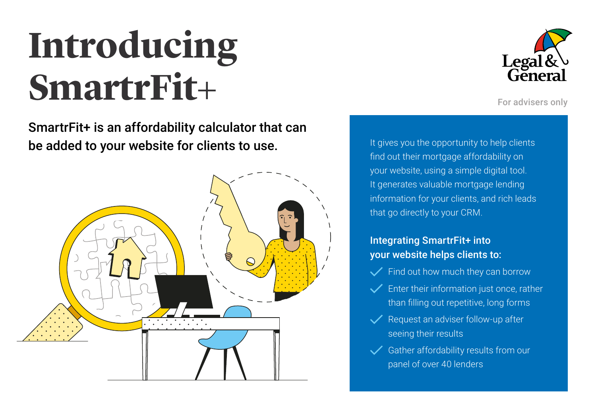# **Introducing SmartrFit+**

SmartrFit+ is an affordability calculator that can be added to your website for clients to use.





For advisers only

It gives you the opportunity to help clients find out their mortgage affordability on your website, using a simple digital tool. It generates valuable mortgage lending information for your clients, and rich leads that go directly to your CRM.

### Integrating SmartrFit+ into your website helps clients to:

- Find out how much they can borrow
- Enter their information just once, rather than filling out repetitive, long forms
- $\sqrt{}$  Request an adviser follow-up after seeing their results
- $\checkmark$ Gather affordability results from our panel of over 40 lenders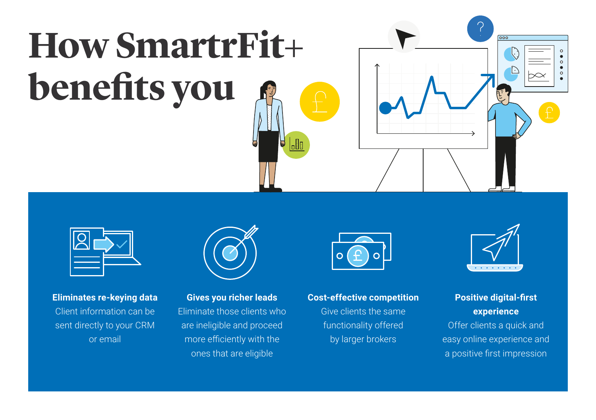# **How SmartrFit+ benefits you**





### **Eliminates re-keying data** Client information can be sent directly to your CRM or email



**Gives you richer leads** Eliminate those clients who are ineligible and proceed more efficiently with the ones that are eligible



#### **Cost-effective competition**

Give clients the same functionality offered by larger brokers



### **Positive digital-first experience**  Offer clients a quick and easy online experience and a positive first impression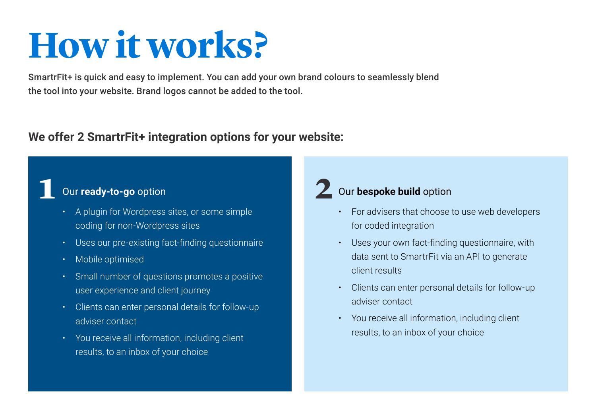## **How it works?**

SmartrFit+ is quick and easy to implement. You can add your own brand colours to seamlessly blend the tool into your website. Brand logos cannot be added to the tool.

### **We offer 2 SmartrFit+ integration options for your website:**

### Our **ready-to-go** option **1 2**

- A plugin for Wordpress sites, or some simple coding for non-Wordpress sites
- Uses our pre-existing fact-finding questionnaire
- Mobile optimised
- Small number of questions promotes a positive user experience and client journey
- Clients can enter personal details for follow-up adviser contact
- You receive all information, including client results, to an inbox of your choice

## 2 Our bespoke build option

- For advisers that choose to use web developers for coded integration
- Uses your own fact-finding questionnaire, with data sent to SmartrFit via an API to generate client results
- Clients can enter personal details for follow-up adviser contact
- You receive all information, including client results, to an inbox of your choice